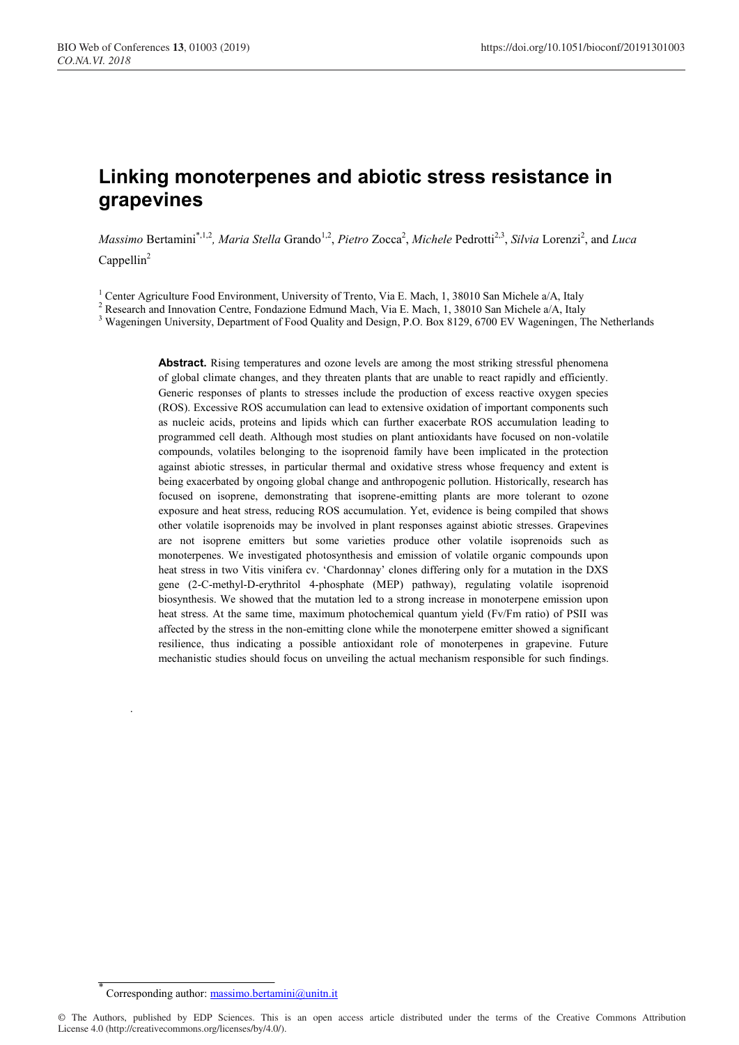# **Linking monoterpenes and abiotic stress resistance in grapevines**

*Massimo* Bertamini<sup>\*,1,2</sup>, *Maria Stella* Grando<sup>1,2</sup>, *Pietro* Zocca<sup>2</sup>, *Michele* Pedrotti<sup>2,3</sup>, *Silvia* Lorenzi<sup>2</sup>, and *Luca*  $Cappellin<sup>2</sup>$ 

<sup>1</sup> Center Agriculture Food Environment, University of Trento, Via E. Mach, 1, 38010 San Michele a/A, Italy

<sup>2</sup> Research and Innovation Centre, Fondazione Edmund Mach, Via E. Mach, 1, 38010 San Michele a/A, Italy

<sup>3</sup> Wageningen University, Department of Food Quality and Design, P.O. Box 8129, 6700 EV Wageningen, The Netherlands

Abstract. Rising temperatures and ozone levels are among the most striking stressful phenomena of global climate changes, and they threaten plants that are unable to react rapidly and efficiently. Generic responses of plants to stresses include the production of excess reactive oxygen species (ROS). Excessive ROS accumulation can lead to extensive oxidation of important components such as nucleic acids, proteins and lipids which can further exacerbate ROS accumulation leading to programmed cell death. Although most studies on plant antioxidants have focused on non-volatile compounds, volatiles belonging to the isoprenoid family have been implicated in the protection against abiotic stresses, in particular thermal and oxidative stress whose frequency and extent is being exacerbated by ongoing global change and anthropogenic pollution. Historically, research has focused on isoprene, demonstrating that isoprene-emitting plants are more tolerant to ozone exposure and heat stress, reducing ROS accumulation. Yet, evidence is being compiled that shows other volatile isoprenoids may be involved in plant responses against abiotic stresses. Grapevines are not isoprene emitters but some varieties produce other volatile isoprenoids such as monoterpenes. We investigated photosynthesis and emission of volatile organic compounds upon heat stress in two Vitis vinifera cv. 'Chardonnay' clones differing only for a mutation in the DXS gene (2-C-methyl-D-erythritol 4-phosphate (MEP) pathway), regulating volatile isoprenoid biosynthesis. We showed that the mutation led to a strong increase in monoterpene emission upon heat stress. At the same time, maximum photochemical quantum yield (Fv/Fm ratio) of PSII was affected by the stress in the non-emitting clone while the monoterpene emitter showed a significant resilience, thus indicating a possible antioxidant role of monoterpenes in grapevine. Future mechanistic studies should focus on unveiling the actual mechanism responsible for such findings.

\*

.

Corresponding author: massimo.bertamini@unitn.it

<sup>©</sup> The Authors, published by EDP Sciences. This is an open access article distributed under the terms of the Creative Commons Attribution License 4.0 (http://creativecommons.org/licenses/by/4.0/).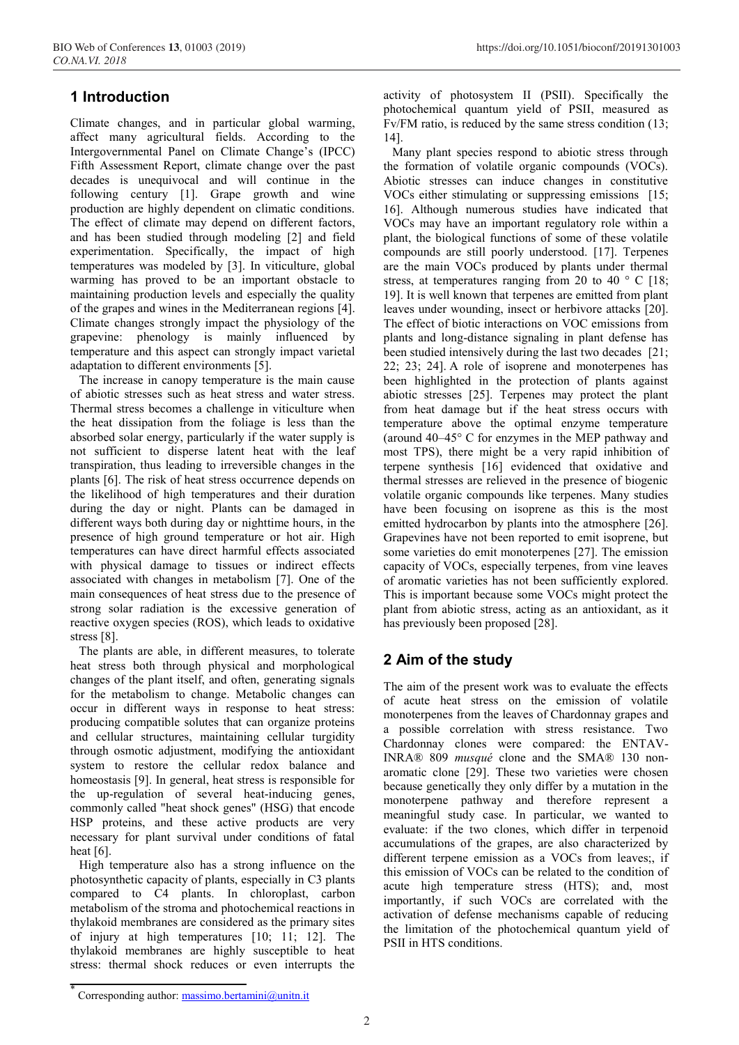# **1 Introduction**

Climate changes, and in particular global warming, affect many agricultural fields. According to the Intergovernmental Panel on Climate Change's (IPCC) Fifth Assessment Report, climate change over the past decades is unequivocal and will continue in the following century [1]. Grape growth and wine production are highly dependent on climatic conditions. The effect of climate may depend on different factors, and has been studied through modeling [2] and field experimentation. Specifically, the impact of high temperatures was modeled by [3]. In viticulture, global warming has proved to be an important obstacle to maintaining production levels and especially the quality of the grapes and wines in the Mediterranean regions [4]. Climate changes strongly impact the physiology of the grapevine: phenology is mainly influenced by temperature and this aspect can strongly impact varietal adaptation to different environments [5].

The increase in canopy temperature is the main cause of abiotic stresses such as heat stress and water stress. Thermal stress becomes a challenge in viticulture when the heat dissipation from the foliage is less than the absorbed solar energy, particularly if the water supply is not sufficient to disperse latent heat with the leaf transpiration, thus leading to irreversible changes in the plants [6]. The risk of heat stress occurrence depends on the likelihood of high temperatures and their duration during the day or night. Plants can be damaged in different ways both during day or nighttime hours, in the presence of high ground temperature or hot air. High temperatures can have direct harmful effects associated with physical damage to tissues or indirect effects associated with changes in metabolism [7]. One of the main consequences of heat stress due to the presence of strong solar radiation is the excessive generation of reactive oxygen species (ROS), which leads to oxidative stress [8].

The plants are able, in different measures, to tolerate heat stress both through physical and morphological changes of the plant itself, and often, generating signals for the metabolism to change. Metabolic changes can occur in different ways in response to heat stress: producing compatible solutes that can organize proteins and cellular structures, maintaining cellular turgidity through osmotic adjustment, modifying the antioxidant system to restore the cellular redox balance and homeostasis [9]. In general, heat stress is responsible for the up-regulation of several heat-inducing genes, commonly called "heat shock genes" (HSG) that encode HSP proteins, and these active products are very necessary for plant survival under conditions of fatal heat [6].

High temperature also has a strong influence on the photosynthetic capacity of plants, especially in C3 plants compared to C4 plants. In chloroplast, carbon metabolism of the stroma and photochemical reactions in thylakoid membranes are considered as the primary sites of injury at high temperatures [10; 11; 12]. The thylakoid membranes are highly susceptible to heat stress: thermal shock reduces or even interrupts the

activity of photosystem II (PSII). Specifically the photochemical quantum yield of PSII, measured as Fv/FM ratio, is reduced by the same stress condition (13; 14].

Many plant species respond to abiotic stress through the formation of volatile organic compounds (VOCs). Abiotic stresses can induce changes in constitutive VOCs either stimulating or suppressing emissions [15; 16]. Although numerous studies have indicated that VOCs may have an important regulatory role within a plant, the biological functions of some of these volatile compounds are still poorly understood. [17]. Terpenes are the main VOCs produced by plants under thermal stress, at temperatures ranging from 20 to 40 ° C [18; 19]. It is well known that terpenes are emitted from plant leaves under wounding, insect or herbivore attacks [20]. The effect of biotic interactions on VOC emissions from plants and long-distance signaling in plant defense has been studied intensively during the last two decades [21; 22; 23; 24]. A role of isoprene and monoterpenes has been highlighted in the protection of plants against abiotic stresses [25]. Terpenes may protect the plant from heat damage but if the heat stress occurs with temperature above the optimal enzyme temperature (around 40–45° C for enzymes in the MEP pathway and most TPS), there might be a very rapid inhibition of terpene synthesis [16] evidenced that oxidative and thermal stresses are relieved in the presence of biogenic volatile organic compounds like terpenes. Many studies have been focusing on isoprene as this is the most emitted hydrocarbon by plants into the atmosphere [26]. Grapevines have not been reported to emit isoprene, but some varieties do emit monoterpenes [27]. The emission capacity of VOCs, especially terpenes, from vine leaves of aromatic varieties has not been sufficiently explored. This is important because some VOCs might protect the plant from abiotic stress, acting as an antioxidant, as it has previously been proposed [28].

# **2 Aim of the study**

The aim of the present work was to evaluate the effects of acute heat stress on the emission of volatile monoterpenes from the leaves of Chardonnay grapes and a possible correlation with stress resistance. Two Chardonnay clones were compared: the ENTAV-INRA® 809 *musqué* clone and the SMA® 130 nonaromatic clone [29]. These two varieties were chosen because genetically they only differ by a mutation in the monoterpene pathway and therefore represent a meaningful study case. In particular, we wanted to evaluate: if the two clones, which differ in terpenoid accumulations of the grapes, are also characterized by different terpene emission as a VOCs from leaves;, if this emission of VOCs can be related to the condition of acute high temperature stress (HTS); and, most importantly, if such VOCs are correlated with the activation of defense mechanisms capable of reducing the limitation of the photochemical quantum yield of PSII in HTS conditions.

Corresponding author: massimo.bertamini@unitn.it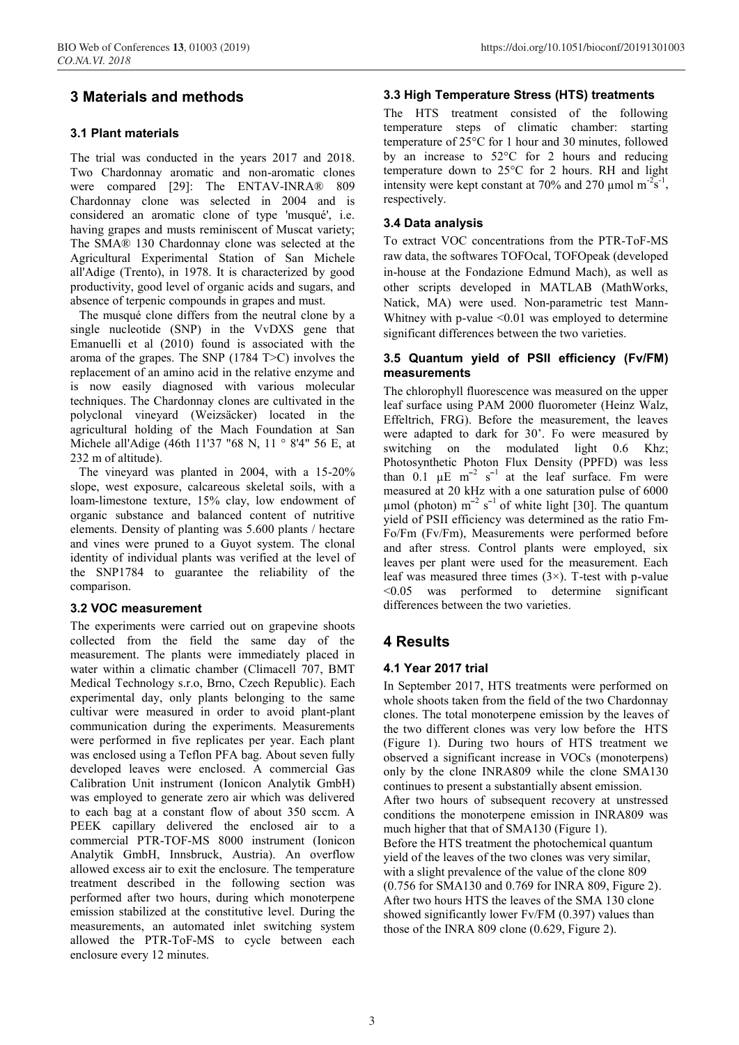### **3 Materials and methods**

#### **3.1 Plant materials**

The trial was conducted in the years 2017 and 2018. Two Chardonnay aromatic and non-aromatic clones were compared [29]: The ENTAV-INRA® 809 Chardonnay clone was selected in 2004 and is considered an aromatic clone of type 'musqué', i.e. having grapes and musts reminiscent of Muscat variety; The SMA® 130 Chardonnay clone was selected at the Agricultural Experimental Station of San Michele all'Adige (Trento), in 1978. It is characterized by good productivity, good level of organic acids and sugars, and absence of terpenic compounds in grapes and must.

The musqué clone differs from the neutral clone by a single nucleotide (SNP) in the VvDXS gene that Emanuelli et al (2010) found is associated with the aroma of the grapes. The SNP (1784 T>C) involves the replacement of an amino acid in the relative enzyme and is now easily diagnosed with various molecular techniques. The Chardonnay clones are cultivated in the polyclonal vineyard (Weizsäcker) located in the agricultural holding of the Mach Foundation at San Michele all'Adige (46th 11'37 "68 N, 11 ° 8'4" 56 E, at 232 m of altitude).

The vineyard was planted in 2004, with a 15-20% slope, west exposure, calcareous skeletal soils, with a loam-limestone texture, 15% clay, low endowment of organic substance and balanced content of nutritive elements. Density of planting was 5.600 plants / hectare and vines were pruned to a Guyot system. The clonal identity of individual plants was verified at the level of the SNP1784 to guarantee the reliability of the comparison.

#### **3.2 VOC measurement**

The experiments were carried out on grapevine shoots collected from the field the same day of the measurement. The plants were immediately placed in water within a climatic chamber (Climacell 707, BMT Medical Technology s.r.o, Brno, Czech Republic). Each experimental day, only plants belonging to the same cultivar were measured in order to avoid plant-plant communication during the experiments. Measurements were performed in five replicates per year. Each plant was enclosed using a Teflon PFA bag. About seven fully developed leaves were enclosed. A commercial Gas Calibration Unit instrument (Ionicon Analytik GmbH) was employed to generate zero air which was delivered to each bag at a constant flow of about 350 sccm. A PEEK capillary delivered the enclosed air to a commercial PTR-TOF-MS 8000 instrument (Ionicon Analytik GmbH, Innsbruck, Austria). An overflow allowed excess air to exit the enclosure. The temperature treatment described in the following section was performed after two hours, during which monoterpene emission stabilized at the constitutive level. During the measurements, an automated inlet switching system allowed the PTR-ToF-MS to cycle between each enclosure every 12 minutes.

#### **3.3 High Temperature Stress (HTS) treatments**

The HTS treatment consisted of the following temperature steps of climatic chamber: starting temperature of 25°C for 1 hour and 30 minutes, followed by an increase to 52°C for 2 hours and reducing temperature down to 25°C for 2 hours. RH and light intensity were kept constant at 70% and 270 µmol  $m^{-2}$ s<sup>-1</sup>, respectively.

#### **3.4 Data analysis**

To extract VOC concentrations from the PTR-ToF-MS raw data, the softwares TOFOcal, TOFOpeak (developed in-house at the Fondazione Edmund Mach), as well as other scripts developed in MATLAB (MathWorks, Natick, MA) were used. Non-parametric test Mann-Whitney with p-value <0.01 was employed to determine significant differences between the two varieties.

#### **3.5 Quantum yield of PSII efficiency (Fv/FM) measurements**

The chlorophyll fluorescence was measured on the upper leaf surface using PAM 2000 fluorometer (Heinz Walz, Effeltrich, FRG). Before the measurement, the leaves were adapted to dark for 30'. Fo were measured by switching on the modulated light 0.6 Khz; Photosynthetic Photon Flux Density (PPFD) was less than  $0.1 \mu E m^{-2} s^{-1}$  at the leaf surface. Fm were measured at 20 kHz with a one saturation pulse of 6000  $\mu$ mol (photon) m<sup>-2</sup> s<sup>-1</sup> of white light [30]. The quantum yield of PSII efficiency was determined as the ratio Fm-Fo/Fm (Fv/Fm), Measurements were performed before and after stress. Control plants were employed, six leaves per plant were used for the measurement. Each leaf was measured three times  $(3\times)$ . T-test with p-value <0.05 was performed to determine significant differences between the two varieties.

### **4 Results**

#### **4.1 Year 2017 trial**

In September 2017, HTS treatments were performed on whole shoots taken from the field of the two Chardonnay clones. The total monoterpene emission by the leaves of the two different clones was very low before the HTS (Figure 1). During two hours of HTS treatment we observed a significant increase in VOCs (monoterpens) only by the clone INRA809 while the clone SMA130 continues to present a substantially absent emission. After two hours of subsequent recovery at unstressed conditions the monoterpene emission in INRA809 was much higher that that of SMA130 (Figure 1). Before the HTS treatment the photochemical quantum yield of the leaves of the two clones was very similar, with a slight prevalence of the value of the clone 809 (0.756 for SMA130 and 0.769 for INRA 809, Figure 2). After two hours HTS the leaves of the SMA 130 clone showed significantly lower Fv/FM (0.397) values than those of the INRA 809 clone (0.629, Figure 2).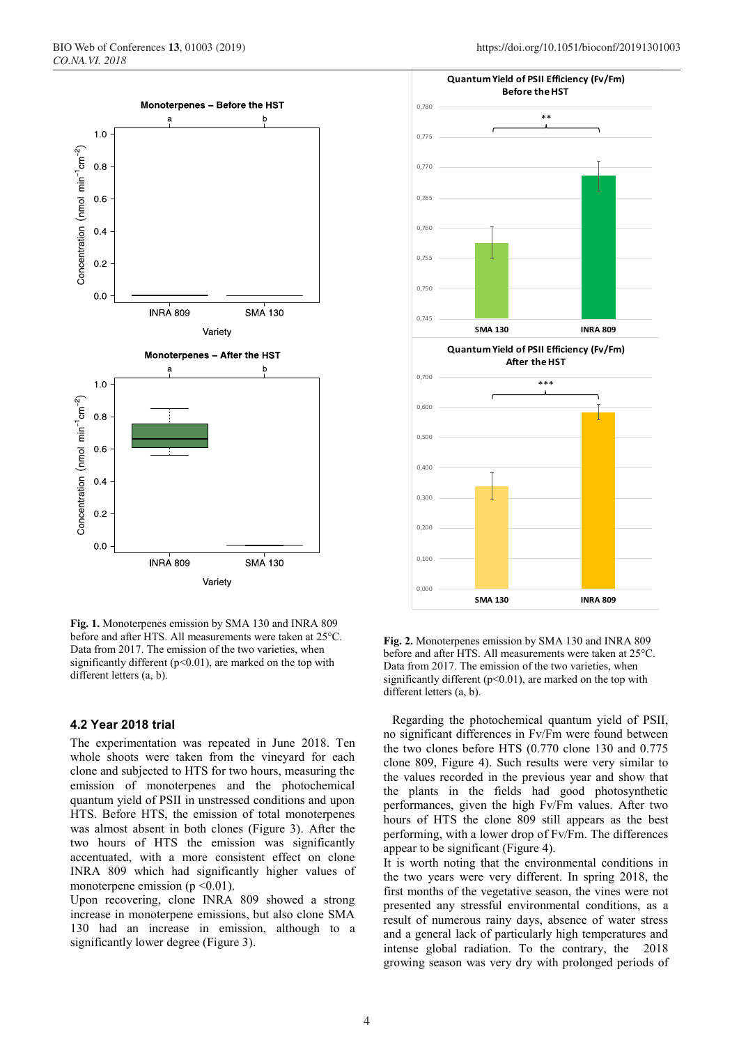

**Fig. 1.** Monoterpenes emission by SMA 130 and INRA 809 before and after HTS. All measurements were taken at 25°C. Data from 2017. The emission of the two varieties, when significantly different ( $p<0.01$ ), are marked on the top with different letters (a, b).

#### **4.2 Year 2018 trial**

The experimentation was repeated in June 2018. Ten whole shoots were taken from the vineyard for each clone and subjected to HTS for two hours, measuring the emission of monoterpenes and the photochemical quantum yield of PSII in unstressed conditions and upon HTS. Before HTS, the emission of total monoterpenes was almost absent in both clones (Figure 3). After the two hours of HTS the emission was significantly accentuated, with a more consistent effect on clone INRA 809 which had significantly higher values of monoterpene emission ( $p \le 0.01$ ).

Upon recovering, clone INRA 809 showed a strong increase in monoterpene emissions, but also clone SMA 130 had an increase in emission, although to a significantly lower degree (Figure 3).



**Fig. 2.** Monoterpenes emission by SMA 130 and INRA 809 before and after HTS. All measurements were taken at 25°C. Data from 2017. The emission of the two varieties, when significantly different ( $p$ <0.01), are marked on the top with different letters (a, b).

Regarding the photochemical quantum yield of PSII, no significant differences in Fv/Fm were found between the two clones before HTS (0.770 clone 130 and 0.775 clone 809, Figure 4). Such results were very similar to the values recorded in the previous year and show that the plants in the fields had good photosynthetic performances, given the high Fv/Fm values. After two hours of HTS the clone 809 still appears as the best performing, with a lower drop of Fv/Fm. The differences appear to be significant (Figure 4).

It is worth noting that the environmental conditions in the two years were very different. In spring 2018, the first months of the vegetative season, the vines were not presented any stressful environmental conditions, as a result of numerous rainy days, absence of water stress and a general lack of particularly high temperatures and intense global radiation. To the contrary, the 2018 growing season was very dry with prolonged periods of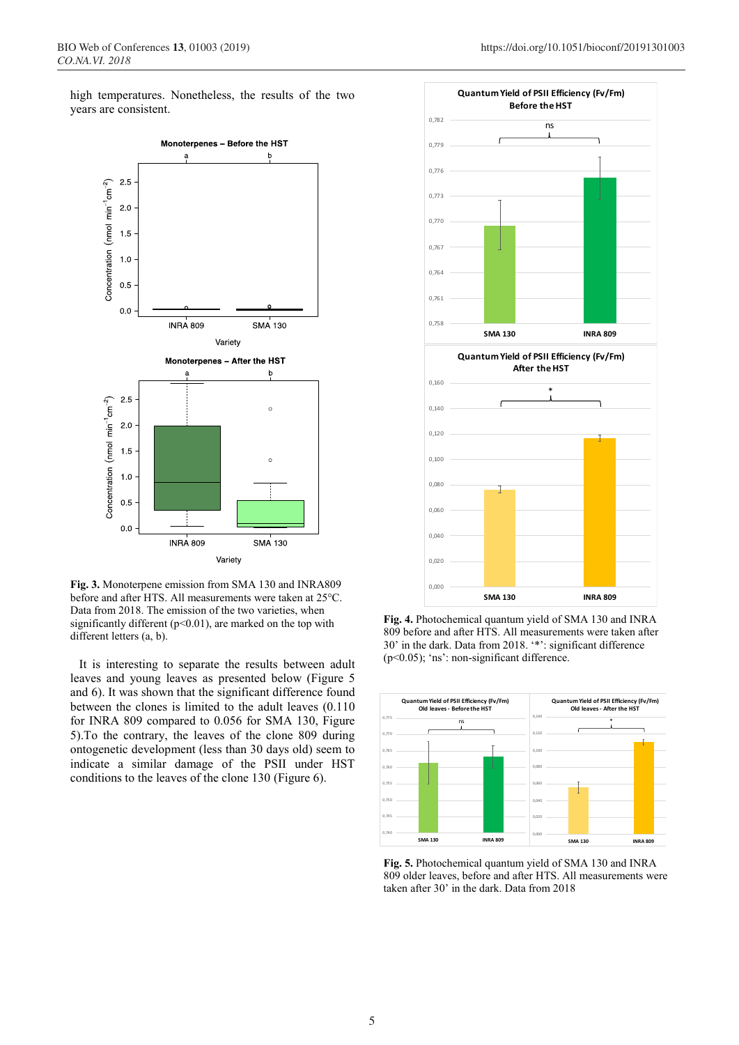high temperatures. Nonetheless, the results of the two years are consistent.



**Fig. 3.** Monoterpene emission from SMA 130 and INRA809 before and after HTS. All measurements were taken at 25°C. Data from 2018. The emission of the two varieties, when significantly different ( $p<0.01$ ), are marked on the top with different letters (a, b).

It is interesting to separate the results between adult leaves and young leaves as presented below (Figure 5 and 6). It was shown that the significant difference found between the clones is limited to the adult leaves (0.110 for INRA 809 compared to 0.056 for SMA 130, Figure 5).To the contrary, the leaves of the clone 809 during ontogenetic development (less than 30 days old) seem to indicate a similar damage of the PSII under HST conditions to the leaves of the clone 130 (Figure 6).



**Fig. 4.** Photochemical quantum yield of SMA 130 and INRA 809 before and after HTS. All measurements were taken after 30' in the dark. Data from 2018. '\*': significant difference (p<0.05); 'ns': non-significant difference.



**Fig. 5.** Photochemical quantum yield of SMA 130 and INRA 809 older leaves, before and after HTS. All measurements were taken after 30' in the dark. Data from 2018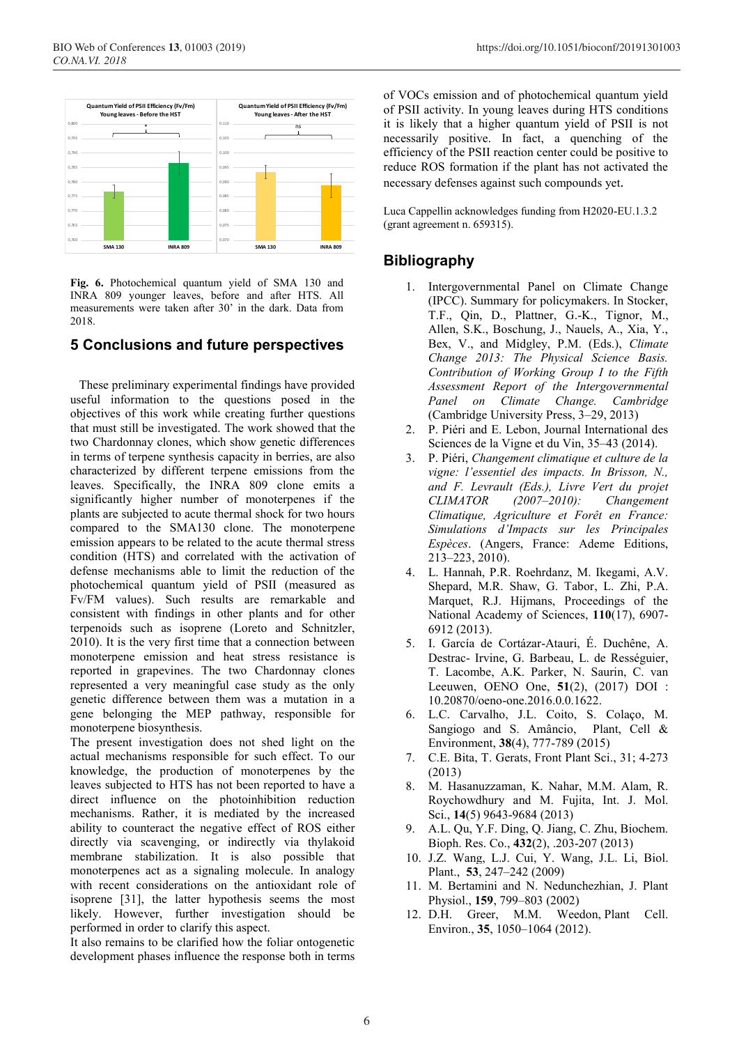

**Fig. 6.** Photochemical quantum yield of SMA 130 and INRA 809 younger leaves, before and after HTS. All measurements were taken after 30' in the dark. Data from 2018.

#### **5 Conclusions and future perspectives**

These preliminary experimental findings have provided useful information to the questions posed in the objectives of this work while creating further questions that must still be investigated. The work showed that the two Chardonnay clones, which show genetic differences in terms of terpene synthesis capacity in berries, are also characterized by different terpene emissions from the leaves. Specifically, the INRA 809 clone emits a significantly higher number of monoterpenes if the plants are subjected to acute thermal shock for two hours compared to the SMA130 clone. The monoterpene emission appears to be related to the acute thermal stress condition (HTS) and correlated with the activation of defense mechanisms able to limit the reduction of the photochemical quantum yield of PSII (measured as Fv/FM values). Such results are remarkable and consistent with findings in other plants and for other terpenoids such as isoprene (Loreto and Schnitzler, 2010). It is the very first time that a connection between monoterpene emission and heat stress resistance is reported in grapevines. The two Chardonnay clones represented a very meaningful case study as the only genetic difference between them was a mutation in a gene belonging the MEP pathway, responsible for monoterpene biosynthesis.

The present investigation does not shed light on the actual mechanisms responsible for such effect. To our knowledge, the production of monoterpenes by the leaves subjected to HTS has not been reported to have a direct influence on the photoinhibition reduction mechanisms. Rather, it is mediated by the increased ability to counteract the negative effect of ROS either directly via scavenging, or indirectly via thylakoid membrane stabilization. It is also possible that monoterpenes act as a signaling molecule. In analogy with recent considerations on the antioxidant role of isoprene [31], the latter hypothesis seems the most likely. However, further investigation should be performed in order to clarify this aspect.

It also remains to be clarified how the foliar ontogenetic development phases influence the response both in terms

of VOCs emission and of photochemical quantum yield of PSII activity. In young leaves during HTS conditions it is likely that a higher quantum yield of PSII is not necessarily positive. In fact, a quenching of the efficiency of the PSII reaction center could be positive to reduce ROS formation if the plant has not activated the necessary defenses against such compounds yet.

Luca Cappellin acknowledges funding from H2020-EU.1.3.2 (grant agreement n. 659315).

### **Bibliography**

- 1. Intergovernmental Panel on Climate Change (IPCC). Summary for policymakers. In Stocker, T.F., Qin, D., Plattner, G.-K., Tignor, M., Allen, S.K., Boschung, J., Nauels, A., Xia, Y., Bex, V., and Midgley, P.M. (Eds.), *Climate Change 2013: The Physical Science Basis. Contribution of Working Group I to the Fifth Assessment Report of the Intergovernmental Panel on Climate Change. Cambridge* (Cambridge University Press, 3–29, 2013)
- 2. P. Piéri and E. Lebon, Journal International des Sciences de la Vigne et du Vin, 35–43 (2014).
- 3. P. Piéri, *Changement climatique et culture de la vigne: l'essentiel des impacts. In Brisson, N., and F. Levrault (Eds.), Livre Vert du projet CLIMATOR (2007–2010): Changement Climatique, Agriculture et Forêt en France: Simulations d'Impacts sur les Principales Espèces*. (Angers, France: Ademe Editions, 213–223, 2010).
- 4. L. Hannah, P.R. Roehrdanz, M. Ikegami, A.V. Shepard, M.R. Shaw, G. Tabor, L. Zhi, P.A. Marquet, R.J. Hijmans, Proceedings of the National Academy of Sciences, **110**(17), 6907- 6912 (2013).
- 5. I. García de Cortázar-Atauri, É. Duchêne, A. Destrac- Irvine, G. Barbeau, L. de Rességuier, T. Lacombe, A.K. Parker, N. Saurin, C. van Leeuwen, OENO One, **51**(2), (2017) DOI : 10.20870/oeno-one.2016.0.0.1622.
- 6. L.C. Carvalho, J.L. Coito, S. Colaço, M. Sangiogo and S. Amâncio, Plant, Cell & Environment, **38**(4), 777-789 (2015)
- 7. C.E. Bita, T. Gerats, Front Plant Sci., 31; 4-273 (2013)
- 8. M. Hasanuzzaman, K. Nahar, M.M. Alam, R. Roychowdhury and M. Fujita, Int. J. Mol. Sci., **14**(5) 9643-9684 (2013)
- 9. A.L. Qu, Y.F. Ding, Q. Jiang, C. Zhu, Biochem. Bioph. Res. Co., **432**(2), .203-207 (2013)
- 10. J.Z. Wang, L.J. Cui, Y. Wang, J.L. Li, Biol. Plant., **53**, 247–242 (2009)
- 11. M. Bertamini and N. Nedunchezhian, J. Plant Physiol., **159**, 799–803 (2002)
- 12. D.H. Greer, M.M. Weedon, Plant Cell. Environ., **35**, 1050–1064 (2012).